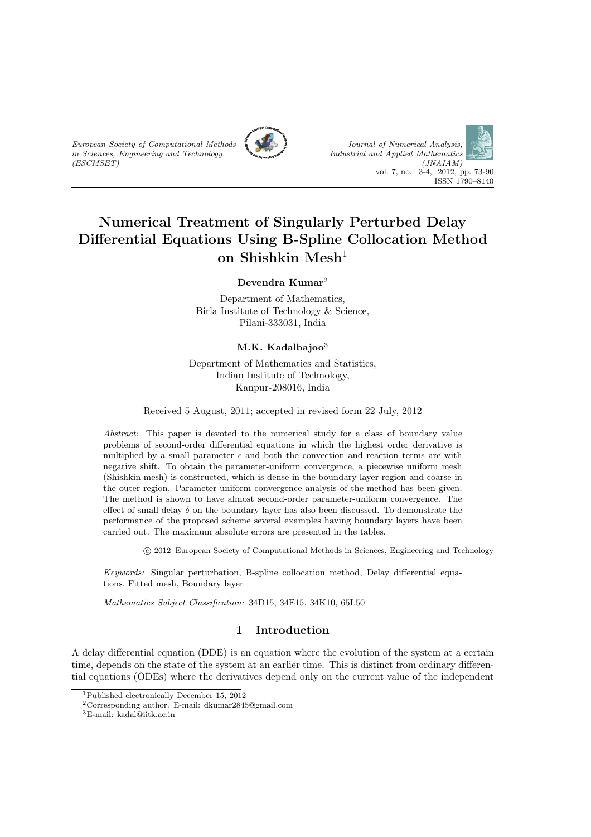





# Numerical Treatment of Singularly Perturbed Delay Differential Equations Using B-Spline Collocation Method on Shishkin Mesh<sup>1</sup>

Devendra Kumar<sup>2</sup>

Department of Mathematics, Birla Institute of Technology & Science, Pilani-333031, India

#### $M.K.$  Kadalbajoo<sup>3</sup>

Department of Mathematics and Statistics, Indian Institute of Technology, Kanpur-208016, India

Received 5 August, 2011; accepted in revised form 22 July, 2012

Abstract: This paper is devoted to the numerical study for a class of boundary value problems of second-order differential equations in which the highest order derivative is multiplied by a small parameter  $\epsilon$  and both the convection and reaction terms are with negative shift. To obtain the parameter-uniform convergence, a piecewise uniform mesh (Shishkin mesh) is constructed, which is dense in the boundary layer region and coarse in the outer region. Parameter-uniform convergence analysis of the method has been given. The method is shown to have almost second-order parameter-uniform convergence. The effect of small delay  $\delta$  on the boundary layer has also been discussed. To demonstrate the performance of the proposed scheme several examples having boundary layers have been carried out. The maximum absolute errors are presented in the tables.

c 2012 European Society of Computational Methods in Sciences, Engineering and Technology

Keywords: Singular perturbation, B-spline collocation method, Delay differential equations, Fitted mesh, Boundary layer

Mathematics Subject Classification: 34D15, 34E15, 34K10, 65L50

# 1 Introduction

A delay differential equation (DDE) is an equation where the evolution of the system at a certain time, depends on the state of the system at an earlier time. This is distinct from ordinary differential equations (ODEs) where the derivatives depend only on the current value of the independent

<sup>1</sup>Published electronically December 15, 2012

<sup>2</sup>Corresponding author. E-mail: dkumar2845@gmail.com

<sup>3</sup>E-mail: kadal@iitk.ac.in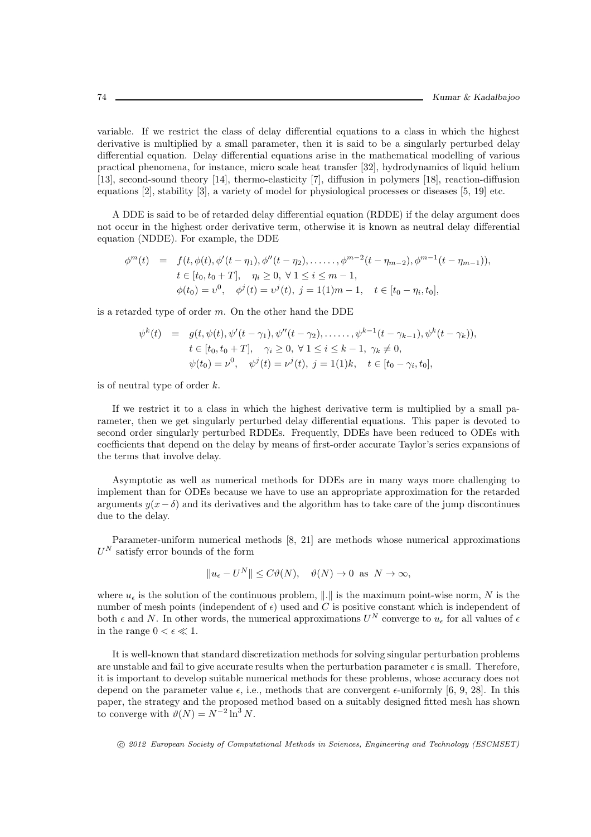variable. If we restrict the class of delay differential equations to a class in which the highest derivative is multiplied by a small parameter, then it is said to be a singularly perturbed delay differential equation. Delay differential equations arise in the mathematical modelling of various practical phenomena, for instance, micro scale heat transfer [32], hydrodynamics of liquid helium [13], second-sound theory [14], thermo-elasticity [7], diffusion in polymers [18], reaction-diffusion equations [2], stability [3], a variety of model for physiological processes or diseases [5, 19] etc.

A DDE is said to be of retarded delay differential equation (RDDE) if the delay argument does not occur in the highest order derivative term, otherwise it is known as neutral delay differential equation (NDDE). For example, the DDE

$$
\phi^{m}(t) = f(t, \phi(t), \phi'(t-\eta_{1}), \phi''(t-\eta_{2}), \dots, \phi^{m-2}(t-\eta_{m-2}), \phi^{m-1}(t-\eta_{m-1})),
$$
  
\n
$$
t \in [t_{0}, t_{0}+T], \quad \eta_{i} \geq 0, \forall 1 \leq i \leq m-1,
$$
  
\n
$$
\phi(t_{0}) = v^{0}, \quad \phi^{j}(t) = v^{j}(t), \ j = 1(1)m-1, \quad t \in [t_{0}-\eta_{i}, t_{0}],
$$

is a retarded type of order  $m$ . On the other hand the DDE

$$
\psi^k(t) = g(t, \psi(t), \psi'(t - \gamma_1), \psi''(t - \gamma_2), \dots, \psi^{k-1}(t - \gamma_{k-1}), \psi^k(t - \gamma_k)),
$$
  
\n
$$
t \in [t_0, t_0 + T], \quad \gamma_i \ge 0, \forall 1 \le i \le k - 1, \quad \gamma_k \ne 0,
$$
  
\n
$$
\psi(t_0) = \nu^0, \quad \psi^j(t) = \nu^j(t), \quad j = 1, 1, 2, \quad t \in [t_0 - \gamma_i, t_0],
$$

is of neutral type of order  $k$ .

If we restrict it to a class in which the highest derivative term is multiplied by a small parameter, then we get singularly perturbed delay differential equations. This paper is devoted to second order singularly perturbed RDDEs. Frequently, DDEs have been reduced to ODEs with coefficients that depend on the delay by means of first-order accurate Taylor's series expansions of the terms that involve delay.

Asymptotic as well as numerical methods for DDEs are in many ways more challenging to implement than for ODEs because we have to use an appropriate approximation for the retarded arguments  $y(x-\delta)$  and its derivatives and the algorithm has to take care of the jump discontinues due to the delay.

Parameter-uniform numerical methods [8, 21] are methods whose numerical approximations  $U^N$  satisfy error bounds of the form

$$
||u_{\epsilon} - U^N|| \leq C\vartheta(N), \quad \vartheta(N) \to 0 \text{ as } N \to \infty,
$$

where  $u_{\epsilon}$  is the solution of the continuous problem,  $\|\cdot\|$  is the maximum point-wise norm, N is the number of mesh points (independent of  $\epsilon$ ) used and C is positive constant which is independent of both  $\epsilon$  and N. In other words, the numerical approximations  $U^N$  converge to  $u_{\epsilon}$  for all values of  $\epsilon$ in the range  $0 < \epsilon \ll 1$ .

It is well-known that standard discretization methods for solving singular perturbation problems are unstable and fail to give accurate results when the perturbation parameter  $\epsilon$  is small. Therefore, it is important to develop suitable numerical methods for these problems, whose accuracy does not depend on the parameter value  $\epsilon$ , i.e., methods that are convergent  $\epsilon$ -uniformly [6, 9, 28]. In this paper, the strategy and the proposed method based on a suitably designed fitted mesh has shown to converge with  $\vartheta(N) = N^{-2} \ln^3 N$ .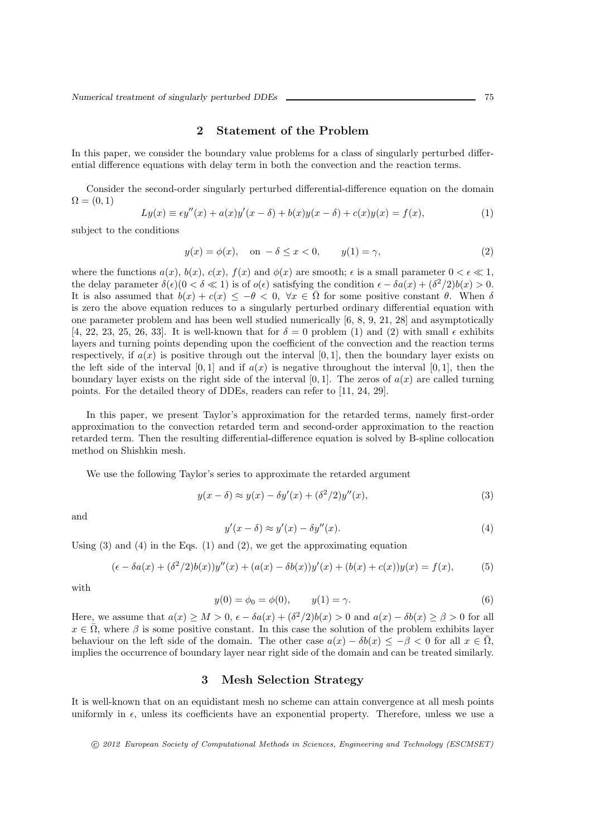#### 2 Statement of the Problem

In this paper, we consider the boundary value problems for a class of singularly perturbed differential difference equations with delay term in both the convection and the reaction terms.

Consider the second-order singularly perturbed differential-difference equation on the domain  $\Omega = (0,1)$ 

$$
Ly(x) \equiv \epsilon y''(x) + a(x)y'(x - \delta) + b(x)y(x - \delta) + c(x)y(x) = f(x),
$$
 (1)

subject to the conditions

$$
y(x) = \phi(x), \quad \text{on } -\delta \le x < 0, \qquad y(1) = \gamma,\tag{2}
$$

where the functions  $a(x)$ ,  $b(x)$ ,  $c(x)$ ,  $f(x)$  and  $\phi(x)$  are smooth;  $\epsilon$  is a small parameter  $0 < \epsilon \ll 1$ , the delay parameter  $\delta(\epsilon)(0 < \delta \ll 1)$  is of  $o(\epsilon)$  satisfying the condition  $\epsilon - \delta a(x) + (\delta^2/2)b(x) > 0$ . It is also assumed that  $b(x) + c(x) \leq -\theta < 0$ ,  $\forall x \in \overline{\Omega}$  for some positive constant  $\theta$ . When  $\delta$ is zero the above equation reduces to a singularly perturbed ordinary differential equation with one parameter problem and has been well studied numerically [6, 8, 9, 21, 28] and asymptotically [4, 22, 23, 25, 26, 33]. It is well-known that for  $\delta = 0$  problem (1) and (2) with small  $\epsilon$  exhibits layers and turning points depending upon the coefficient of the convection and the reaction terms respectively, if  $a(x)$  is positive through out the interval [0, 1], then the boundary layer exists on the left side of the interval [0, 1] and if  $a(x)$  is negative throughout the interval [0, 1], then the boundary layer exists on the right side of the interval [0, 1]. The zeros of  $a(x)$  are called turning points. For the detailed theory of DDEs, readers can refer to [11, 24, 29].

In this paper, we present Taylor's approximation for the retarded terms, namely first-order approximation to the convection retarded term and second-order approximation to the reaction retarded term. Then the resulting differential-difference equation is solved by B-spline collocation method on Shishkin mesh.

We use the following Taylor's series to approximate the retarded argument

$$
y(x - \delta) \approx y(x) - \delta y'(x) + (\delta^2/2)y''(x),
$$
\n(3)

and

$$
y'(x - \delta) \approx y'(x) - \delta y''(x). \tag{4}
$$

Using  $(3)$  and  $(4)$  in the Eqs.  $(1)$  and  $(2)$ , we get the approximating equation

$$
(\epsilon - \delta a(x) + (\delta^2/2)b(x))y''(x) + (a(x) - \delta b(x))y'(x) + (b(x) + c(x))y(x) = f(x),
$$
 (5)

with

$$
y(0) = \phi_0 = \phi(0), \qquad y(1) = \gamma.
$$
 (6)

Here, we assume that  $a(x) \ge M > 0$ ,  $\epsilon - \delta a(x) + (\delta^2/2)b(x) > 0$  and  $a(x) - \delta b(x) \ge \beta > 0$  for all  $x \in \overline{\Omega}$ , where  $\beta$  is some positive constant. In this case the solution of the problem exhibits layer behaviour on the left side of the domain. The other case  $a(x) - \delta b(x) \leq -\beta \leq 0$  for all  $x \in \overline{\Omega}$ , implies the occurrence of boundary layer near right side of the domain and can be treated similarly.

#### 3 Mesh Selection Strategy

It is well-known that on an equidistant mesh no scheme can attain convergence at all mesh points uniformly in  $\epsilon$ , unless its coefficients have an exponential property. Therefore, unless we use a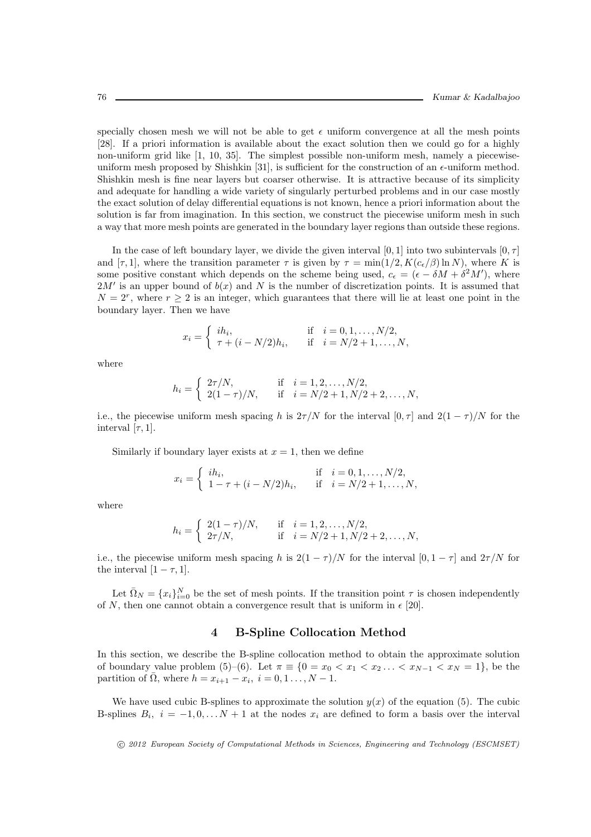specially chosen mesh we will not be able to get  $\epsilon$  uniform convergence at all the mesh points [28]. If a priori information is available about the exact solution then we could go for a highly non-uniform grid like [1, 10, 35]. The simplest possible non-uniform mesh, namely a piecewiseuniform mesh proposed by Shishkin [31], is sufficient for the construction of an  $\epsilon$ -uniform method. Shishkin mesh is fine near layers but coarser otherwise. It is attractive because of its simplicity and adequate for handling a wide variety of singularly perturbed problems and in our case mostly the exact solution of delay differential equations is not known, hence a priori information about the solution is far from imagination. In this section, we construct the piecewise uniform mesh in such a way that more mesh points are generated in the boundary layer regions than outside these regions.

In the case of left boundary layer, we divide the given interval [0, 1] into two subintervals  $[0, \tau]$ and  $[\tau, 1]$ , where the transition parameter  $\tau$  is given by  $\tau = \min(1/2, K(c_{\epsilon}/\beta) \ln N)$ , where K is some positive constant which depends on the scheme being used,  $c_{\epsilon} = (\epsilon - \delta M + \delta^2 M')$ , where  $2M'$  is an upper bound of  $b(x)$  and N is the number of discretization points. It is assumed that  $N = 2^r$ , where  $r \geq 2$  is an integer, which guarantees that there will lie at least one point in the boundary layer. Then we have

$$
x_i = \begin{cases} i h_i, & \text{if } i = 0, 1, ..., N/2, \\ \tau + (i - N/2) h_i, & \text{if } i = N/2 + 1, ..., N, \end{cases}
$$

where

$$
h_i = \begin{cases} 2\tau/N, & \text{if } i = 1, 2, \dots, N/2, \\ 2(1-\tau)/N, & \text{if } i = N/2 + 1, N/2 + 2, \dots, N, \end{cases}
$$

i.e., the piecewise uniform mesh spacing h is  $2\tau/N$  for the interval  $[0, \tau]$  and  $2(1 - \tau)/N$  for the interval [ $\tau$ , 1].

Similarly if boundary layer exists at  $x = 1$ , then we define

$$
x_i = \begin{cases} i h_i, & \text{if } i = 0, 1, ..., N/2, \\ 1 - \tau + (i - N/2) h_i, & \text{if } i = N/2 + 1, ..., N, \end{cases}
$$

where

$$
h_i = \begin{cases} 2(1-\tau)/N, & \text{if } i = 1, 2, ..., N/2, \\ 2\tau/N, & \text{if } i = N/2 + 1, N/2 + 2, ..., N, \end{cases}
$$

i.e., the piecewise uniform mesh spacing h is  $2(1 - \tau)/N$  for the interval  $[0, 1 - \tau]$  and  $2\tau/N$  for the interval  $[1 - \tau, 1]$ .

Let  $\bar{\Omega}_N = \{x_i\}_{i=0}^N$  be the set of mesh points. If the transition point  $\tau$  is chosen independently of N, then one cannot obtain a convergence result that is uniform in  $\epsilon$  [20].

## 4 B-Spline Collocation Method

In this section, we describe the B-spline collocation method to obtain the approximate solution of boundary value problem (5)–(6). Let  $\pi \equiv \{0 = x_0 < x_1 < x_2 \ldots < x_{N-1} < x_N = 1\}$ , be the partition of  $\overline{\Omega}$ , where  $h = x_{i+1} - x_i$ ,  $i = 0, 1, ..., N - 1$ .

We have used cubic B-splines to approximate the solution  $y(x)$  of the equation (5). The cubic B-splines  $B_i$ ,  $i = -1, 0, \ldots N + 1$  at the nodes  $x_i$  are defined to form a basis over the interval

c 2012 European Society of Computational Methods in Sciences, Engineering and Technology (ESCMSET)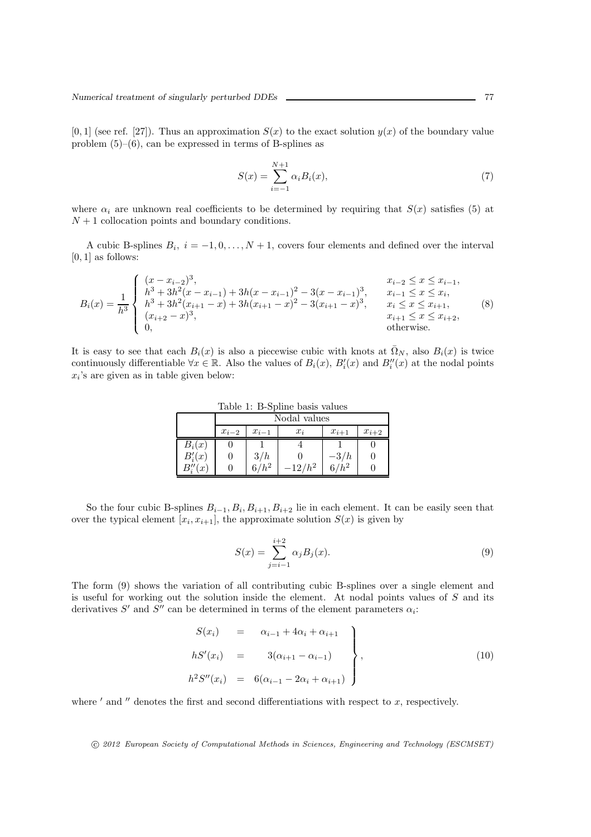$[0, 1]$  (see ref. [27]). Thus an approximation  $S(x)$  to the exact solution  $y(x)$  of the boundary value problem  $(5)$ – $(6)$ , can be expressed in terms of B-splines as

$$
S(x) = \sum_{i=-1}^{N+1} \alpha_i B_i(x),
$$
 (7)

where  $\alpha_i$  are unknown real coefficients to be determined by requiring that  $S(x)$  satisfies (5) at  $N+1$  collocation points and boundary conditions.

A cubic B-splines  $B_i$ ,  $i = -1, 0, \ldots, N+1$ , covers four elements and defined over the interval [0, 1] as follows:

$$
B_i(x) = \frac{1}{h^3} \begin{cases} (x - x_{i-2})^3, & x_{i-2} \le x \le x_{i-1}, \\ h^3 + 3h^2(x - x_{i-1}) + 3h(x - x_{i-1})^2 - 3(x - x_{i-1})^3, & x_{i-1} \le x \le x_i, \\ h^3 + 3h^2(x_{i+1} - x) + 3h(x_{i+1} - x)^2 - 3(x_{i+1} - x)^3, & x_i \le x \le x_{i+1}, \\ (x_{i+2} - x)^3, & x_{i+1} \le x \le x_{i+2}, \\ 0, & \text{otherwise.} \end{cases}
$$
(8)

It is easy to see that each  $B_i(x)$  is also a piecewise cubic with knots at  $\overline{\Omega}_N$ , also  $B_i(x)$  is twice continuously differentiable  $\forall x \in \mathbb{R}$ . Also the values of  $B_i(x)$ ,  $B'_i(x)$  and  $B''_i(x)$  at the nodal points  $x_i$ 's are given as in table given below:

Table 1: B-Spline basis values

|                  | Nodal values |           |       |           |           |  |  |  |
|------------------|--------------|-----------|-------|-----------|-----------|--|--|--|
|                  | $x_{i-2}$    | $x_{i-1}$ | $x_i$ | $x_{i+1}$ | $x_{i+2}$ |  |  |  |
| $B_i(x)$         |              |           |       |           |           |  |  |  |
| $B_i'(x)$        | U            | 3/h       |       | $-3/h$    |           |  |  |  |
| $\boldsymbol{x}$ |              |           |       |           |           |  |  |  |

So the four cubic B-splines  $B_{i-1}, B_i, B_{i+1}, B_{i+2}$  lie in each element. It can be easily seen that over the typical element  $[x_i, x_{i+1}]$ , the approximate solution  $S(x)$  is given by

$$
S(x) = \sum_{j=i-1}^{i+2} \alpha_j B_j(x).
$$
 (9)

The form (9) shows the variation of all contributing cubic B-splines over a single element and is useful for working out the solution inside the element. At nodal points values of S and its derivatives  $S'$  and  $S''$  can be determined in terms of the element parameters  $\alpha_i$ :

$$
S(x_i) = \alpha_{i-1} + 4\alpha_i + \alpha_{i+1}
$$
  
\n
$$
hS'(x_i) = 3(\alpha_{i+1} - \alpha_{i-1})
$$
  
\n
$$
h^2S''(x_i) = 6(\alpha_{i-1} - 2\alpha_i + \alpha_{i+1})
$$
\n(10)

where  $'$  and  $''$  denotes the first and second differentiations with respect to  $x$ , respectively.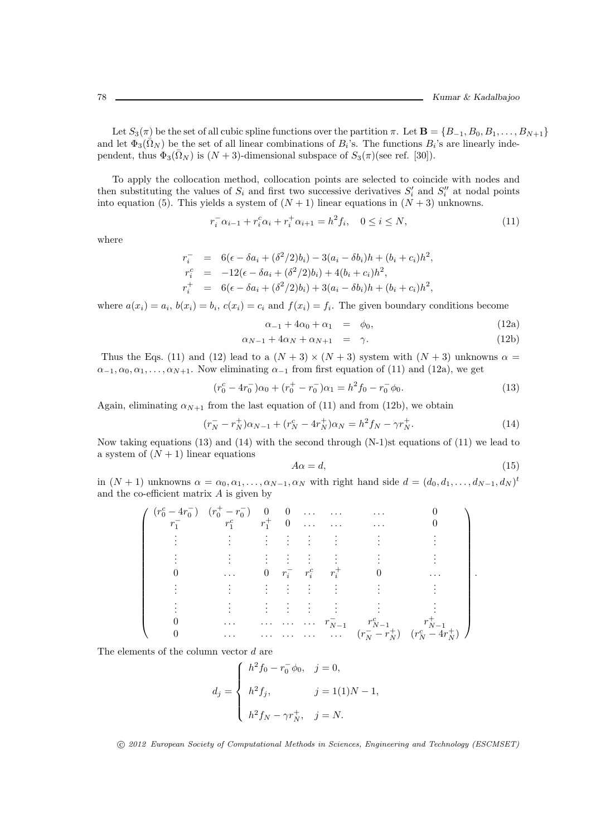Let  $S_3(\pi)$  be the set of all cubic spline functions over the partition  $\pi$ . Let  $\mathbf{B} = \{B_{-1}, B_0, B_1, \ldots, B_{N+1}\}\$ and let  $\Phi_3(\bar{\Omega}_N)$  be the set of all linear combinations of  $B_i$ 's. The functions  $B_i$ 's are linearly independent, thus  $\Phi_3(\overline{\Omega}_N)$  is  $(N+3)$ -dimensional subspace of  $S_3(\pi)$ (see ref. [30]).

To apply the collocation method, collocation points are selected to coincide with nodes and then substituting the values of  $S_i$  and first two successive derivatives  $S'_i$  and  $S''_i$  at nodal points into equation (5). This yields a system of  $(N + 1)$  linear equations in  $(N + 3)$  unknowns.

$$
r_i^- \alpha_{i-1} + r_i^c \alpha_i + r_i^+ \alpha_{i+1} = h^2 f_i, \quad 0 \le i \le N,
$$
\n(11)

where

$$
r_i^- = 6(\epsilon - \delta a_i + (\delta^2/2)b_i) - 3(a_i - \delta b_i)h + (b_i + c_i)h^2,
$$
  
\n
$$
r_i^c = -12(\epsilon - \delta a_i + (\delta^2/2)b_i) + 4(b_i + c_i)h^2,
$$
  
\n
$$
r_i^+ = 6(\epsilon - \delta a_i + (\delta^2/2)b_i) + 3(a_i - \delta b_i)h + (b_i + c_i)h^2,
$$

where  $a(x_i) = a_i$ ,  $b(x_i) = b_i$ ,  $c(x_i) = c_i$  and  $f(x_i) = f_i$ . The given boundary conditions become

$$
\alpha_{-1} + 4\alpha_0 + \alpha_1 = \phi_0, \qquad (12a)
$$

$$
\alpha_{N-1} + 4\alpha_N + \alpha_{N+1} = \gamma. \tag{12b}
$$

Thus the Eqs. (11) and (12) lead to a  $(N+3) \times (N+3)$  system with  $(N+3)$  unknowns  $\alpha =$  $\alpha_{-1}, \alpha_0, \alpha_1, \ldots, \alpha_{N+1}$ . Now eliminating  $\alpha_{-1}$  from first equation of (11) and (12a), we get

$$
(r_0^c - 4r_0^-)\alpha_0 + (r_0^+ - r_0^-)\alpha_1 = h^2 f_0 - r_0^- \phi_0.
$$
\n(13)

Again, eliminating  $\alpha_{N+1}$  from the last equation of (11) and from (12b), we obtain

$$
(r_N^- - r_N^+) \alpha_{N-1} + (r_N^c - 4r_N^+) \alpha_N = h^2 f_N - \gamma r_N^+.
$$
\n(14)

Now taking equations (13) and (14) with the second through (N-1)st equations of (11) we lead to a system of  $(N + 1)$  linear equations

$$
A\alpha = d,\tag{15}
$$

in  $(N + 1)$  unknowns  $\alpha = \alpha_0, \alpha_1, \ldots, \alpha_{N-1}, \alpha_N$  with right hand side  $d = (d_0, d_1, \ldots, d_{N-1}, d_N)^t$ and the co-efficient matrix  $A$  is given by

$$
\left(\begin{array}{cccccc} (r_0^c - 4r_0^-) & (r_0^+ - r_0^-) & 0 & 0 & \dots & \dots & & 0 \\ r_1^- & r_1^c & r_1^+ & 0 & \dots & \dots & & 0 \\ \vdots & \vdots & \vdots & \vdots & \vdots & \vdots & \vdots & & \vdots \\ 0 & \dots & 0 & r_i^- & r_i^c & r_i^+ & 0 & \dots \\ \vdots & \vdots & \vdots & \vdots & \vdots & \vdots & \vdots & \vdots \\ 0 & \dots & \dots & \dots & \dots & r_{N-1}^- & r_{N-1}^c & r_{N-1}^+ \\ 0 & \dots & \dots & \dots & \dots & \dots & (r_N^- - r_N^+) & (r_N^c - 4r_N^+) \end{array}\right).
$$

The elements of the column vector d are

$$
d_j = \begin{cases} h^2 f_0 - r_0^- \phi_0, & j = 0, \\ h^2 f_j, & j = 1(1)N - 1, \\ h^2 f_N - \gamma r_N^+, & j = N. \end{cases}
$$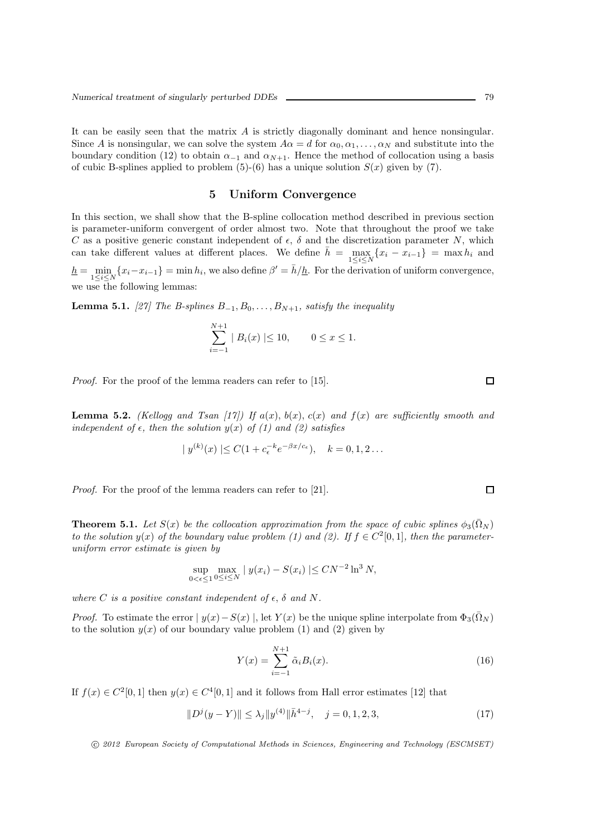It can be easily seen that the matrix  $\vec{A}$  is strictly diagonally dominant and hence nonsingular. Since A is nonsingular, we can solve the system  $A\alpha = d$  for  $\alpha_0, \alpha_1, \dots, \alpha_N$  and substitute into the boundary condition (12) to obtain  $\alpha_{-1}$  and  $\alpha_{N+1}$ . Hence the method of collocation using a basis of cubic B-splines applied to problem  $(5)-(6)$  has a unique solution  $S(x)$  given by  $(7)$ .

#### 5 Uniform Convergence

In this section, we shall show that the B-spline collocation method described in previous section is parameter-uniform convergent of order almost two. Note that throughout the proof we take C as a positive generic constant independent of  $\epsilon$ ,  $\delta$  and the discretization parameter N, which can take different values at different places. We define  $\bar{h} = \max_{1 \leq i \leq N} \{x_i - x_{i-1}\} = \max h_i$  and  $h = \min_{1 \leq i \leq N} \{x_i - x_{i-1}\} = \min h_i$ , we also define  $\beta' = \bar{h}/h$ . For the derivation of uniform convergence, we use the following lemmas:

**Lemma 5.1.** [27] The B-splines  $B_{-1}, B_0, \ldots, B_{N+1}$ , satisfy the inequality

$$
\sum_{i=-1}^{N+1} |B_i(x)| \le 10, \qquad 0 \le x \le 1.
$$

*Proof.* For the proof of the lemma readers can refer to [15].

**Lemma 5.2.** (Kellogg and Tsan [17]) If  $a(x)$ ,  $b(x)$ ,  $c(x)$  and  $f(x)$  are sufficiently smooth and independent of  $\epsilon$ , then the solution  $y(x)$  of (1) and (2) satisfies

$$
|y^{(k)}(x)| \leq C(1 + c_{\epsilon}^{-k}e^{-\beta x/c_{\epsilon}}), \quad k = 0, 1, 2 \dots
$$

Proof. For the proof of the lemma readers can refer to [21].

**Theorem 5.1.** Let  $S(x)$  be the collocation approximation from the space of cubic splines  $\phi_3(\bar{\Omega}_N)$ to the solution  $y(x)$  of the boundary value problem (1) and (2). If  $f \in C^2[0,1]$ , then the parameteruniform error estimate is given by

$$
\sup_{0 < \epsilon \le 1} \max_{0 \le i \le N} |y(x_i) - S(x_i)| \le C N^{-2} \ln^3 N,
$$

where C is a positive constant independent of  $\epsilon$ ,  $\delta$  and N.

*Proof.* To estimate the error  $|y(x)-S(x)|$ , let  $Y(x)$  be the unique spline interpolate from  $\Phi_3(\Omega_N)$ to the solution  $y(x)$  of our boundary value problem (1) and (2) given by

$$
Y(x) = \sum_{i=-1}^{N+1} \tilde{\alpha}_i B_i(x).
$$
 (16)

If  $f(x) \in C^2[0,1]$  then  $y(x) \in C^4[0,1]$  and it follows from Hall error estimates [12] that

$$
||D^{j}(y - Y)|| \leq \lambda_{j} ||y^{(4)}||\bar{h}^{4-j}, \quad j = 0, 1, 2, 3,
$$
\n(17)

c 2012 European Society of Computational Methods in Sciences, Engineering and Technology (ESCMSET)

 $\Box$ 

 $\Box$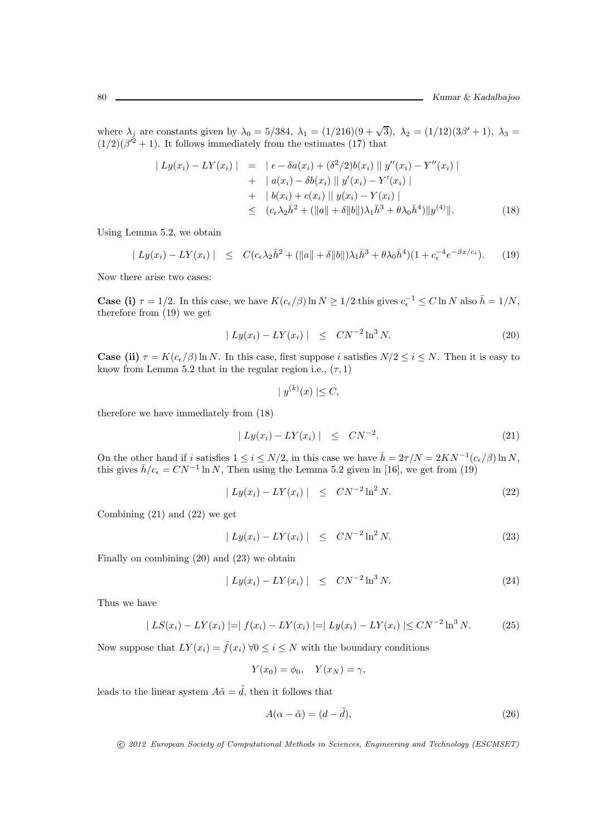where  $\lambda_j$  are constants given by  $\lambda_0 = 5/384$ ,  $\lambda_1 = (1/216)(9 + \sqrt{3})$ ,  $\lambda_2 = (1/12)(3\beta' + 1)$ ,  $\lambda_3 =$  $(1/2)(\beta^{2}+1)$ . It follows immediately from the estimates (17) that

$$
\begin{aligned}\n| \ L y(x_i) - L Y(x_i) \ | &= \ |\ \epsilon - \delta a(x_i) + (\delta^2/2) b(x_i) \ || \ y''(x_i) - Y''(x_i) \ | \\
&\quad + \ | \ a(x_i) - \delta b(x_i) \ || \ y'(x_i) - Y'(x_i) \ | \\
&\quad + \ | \ b(x_i) + c(x_i) \ || \ y(x_i) - Y(x_i) \ | \\
&\leq \ (c_{\epsilon} \lambda_2 \bar{h}^2 + (\|a\| + \delta \|b\|) \lambda_1 \bar{h}^3 + \theta \lambda_0 \bar{h}^4) \| y^{(4)} \|.\n\end{aligned} \tag{18}
$$

Using Lemma 5.2, we obtain

$$
|Ly(x_i) - LY(x_i)| \leq C(c_{\epsilon}\lambda_2\bar{h}^2 + (\|a\| + \delta\|b\|)\lambda_1\bar{h}^3 + \theta\lambda_0\bar{h}^4)(1 + c_{\epsilon}^{-4}e^{-\beta x/c_{\epsilon}}). \tag{19}
$$

Now there arise two cases:

**Case (i)**  $\tau = 1/2$ . In this case, we have  $K(c_{\epsilon}/\beta) \ln N \ge 1/2$  this gives  $c_{\epsilon}^{-1} \le C \ln N$  also  $\bar{h} = 1/N$ , therefore from (19) we get

$$
|Ly(x_i) - LY(x_i)| \leq CN^{-2} \ln^3 N. \tag{20}
$$

**Case (ii)**  $\tau = K(c_{\epsilon}/\beta) \ln N$ . In this case, first suppose i satisfies  $N/2 \leq i \leq N$ . Then it is easy to know from Lemma 5.2 that in the regular region i.e.,  $(\tau, 1)$ 

$$
|y^{(k)}(x)| \leq C,
$$

therefore we have immediately from (18)

$$
|Ly(x_i) - LY(x_i)| \leq CN^{-2}.
$$
\n(21)

On the other hand if i satisfies  $1 \le i \le N/2$ , in this case we have  $\bar{h} = 2\tau/N = 2KN^{-1}(c_{\epsilon}/\beta)\ln N$ , this gives  $\bar{h}/c_{\epsilon} = CN^{-1} \ln N$ , Then using the Lemma 5.2 given in [16], we get from (19)

$$
|Ly(x_i) - LY(x_i)| \leq CN^{-2} \ln^2 N. \tag{22}
$$

Combining (21) and (22) we get

$$
|Ly(x_i) - LY(x_i)| \leq CN^{-2} \ln^2 N. \tag{23}
$$

Finally on combining (20) and (23) we obtain

$$
|Ly(x_i) - LY(x_i)| \leq CN^{-2} \ln^3 N. \tag{24}
$$

Thus we have

$$
|LS(x_i) - LY(x_i)| = |f(x_i) - LY(x_i)| = |Ly(x_i) - LY(x_i)| \le CN^{-2} \ln^3 N.
$$
 (25)

Now suppose that  $LY(x_i) = \tilde{f}(x_i) \ \forall 0 \leq i \leq N$  with the boundary conditions

$$
Y(x_0) = \phi_0, \quad Y(x_N) = \gamma,
$$

leads to the linear system  $A\tilde{\alpha} = \tilde{d}$ , then it follows that

$$
A(\alpha - \tilde{\alpha}) = (d - \tilde{d}),\tag{26}
$$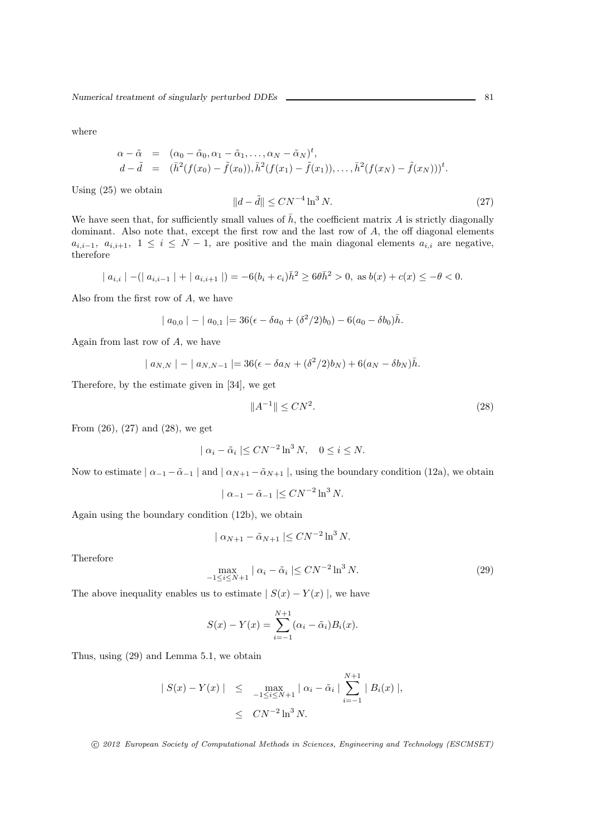where

$$
\alpha - \tilde{\alpha} = (\alpha_0 - \tilde{\alpha}_0, \alpha_1 - \tilde{\alpha}_1, \dots, \alpha_N - \tilde{\alpha}_N)^t, d - \tilde{d} = (\bar{h}^2(f(x_0) - \tilde{f}(x_0)), \bar{h}^2(f(x_1) - \tilde{f}(x_1)), \dots, \bar{h}^2(f(x_N) - \tilde{f}(x_N)))^t.
$$

Using (25) we obtain

$$
||d - \tilde{d}|| \le CN^{-4} \ln^3 N. \tag{27}
$$

We have seen that, for sufficiently small values of  $\bar{h}$ , the coefficient matrix A is strictly diagonally dominant. Also note that, except the first row and the last row of A, the off diagonal elements  $a_{i,i-1}, a_{i,i+1}, 1 \leq i \leq N-1$ , are positive and the main diagonal elements  $a_{i,i}$  are negative, therefore

$$
| a_{i,i} | - (| a_{i,i-1} | + | a_{i,i+1} |) = -6(b_i + c_i)\bar{h}^2 \ge 6\theta\bar{h}^2 > 0, \text{ as } b(x) + c(x) \le -\theta < 0.
$$

Also from the first row of A, we have

$$
| a_{0,0} | - | a_{0,1} | = 36(\epsilon - \delta a_0 + (\delta^2/2)b_0) - 6(a_0 - \delta b_0)\bar{h}.
$$

Again from last row of  $A$ , we have

$$
| a_{N,N} | - | a_{N,N-1} | = 36(\epsilon - \delta a_N + (\delta^2/2)b_N) + 6(a_N - \delta b_N)\bar{h}.
$$

Therefore, by the estimate given in [34], we get

$$
||A^{-1}|| \le CN^2. \tag{28}
$$

From  $(26)$ ,  $(27)$  and  $(28)$ , we get

$$
| \alpha_i - \tilde{\alpha}_i | \leq C N^{-2} \ln^3 N, \quad 0 \leq i \leq N.
$$

Now to estimate  $\alpha_{-1} - \tilde{\alpha}_{-1}$  and  $\alpha_{N+1} - \tilde{\alpha}_{N+1}$ , using the boundary condition (12a), we obtain

$$
| \alpha_{-1} - \tilde{\alpha}_{-1} | \leq C N^{-2} \ln^3 N.
$$

Again using the boundary condition (12b), we obtain

$$
\mid \alpha_{N+1} - \tilde{\alpha}_{N+1} \mid \leq CN^{-2} \ln^3 N.
$$

Therefore

$$
\max_{-1 \le i \le N+1} |\alpha_i - \tilde{\alpha}_i| \le CN^{-2} \ln^3 N. \tag{29}
$$

The above inequality enables us to estimate  $| S(x) - Y(x) |$ , we have

$$
S(x) - Y(x) = \sum_{i=-1}^{N+1} (\alpha_i - \tilde{\alpha}_i) B_i(x).
$$

Thus, using (29) and Lemma 5.1, we obtain

$$
|S(x) - Y(x)| \le \max_{-1 \le i \le N+1} |\alpha_i - \tilde{\alpha}_i| \sum_{i=-1}^{N+1} |B_i(x)|,
$$
  
 $\le CN^{-2} \ln^3 N.$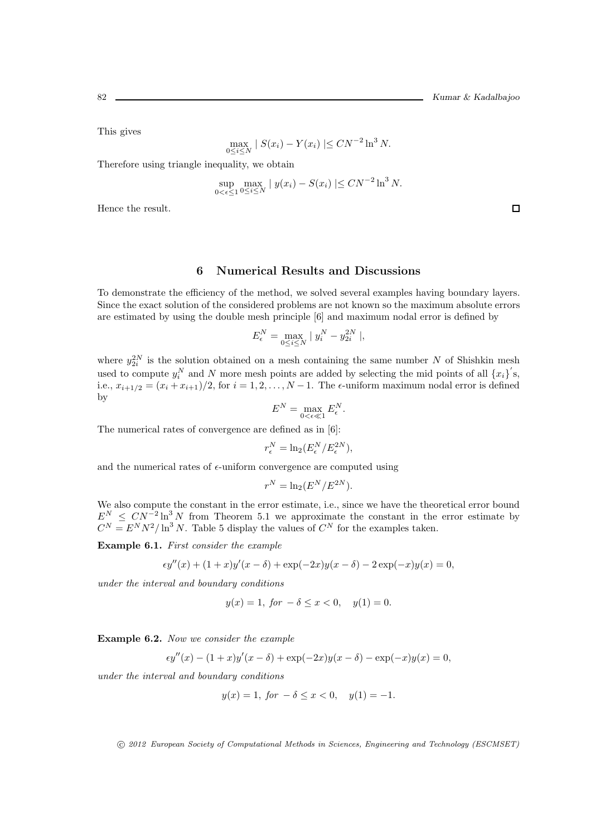This gives

$$
\max_{0 \le i \le N} |S(x_i) - Y(x_i)| \le C N^{-2} \ln^3 N.
$$

Therefore using triangle inequality, we obtain

$$
\sup_{0 < \epsilon \le 1} \max_{0 \le i \le N} |y(x_i) - S(x_i)| \le C N^{-2} \ln^3 N.
$$

Hence the result.

#### 6 Numerical Results and Discussions

To demonstrate the efficiency of the method, we solved several examples having boundary layers. Since the exact solution of the considered problems are not known so the maximum absolute errors are estimated by using the double mesh principle [6] and maximum nodal error is defined by

$$
E_{\epsilon}^{N} = \max_{0 \le i \le N} | y_{i}^{N} - y_{2i}^{2N} |,
$$

where  $y_{2i}^{2N}$  is the solution obtained on a mesh containing the same number N of Shishkin mesh used to compute  $y_i^N$  and N more mesh points are added by selecting the mid points of all  ${x_i}^s$ , i.e.,  $x_{i+1/2} = (x_i + x_{i+1})/2$ , for  $i = 1, 2, ..., N-1$ . The  $\epsilon$ -uniform maximum nodal error is defined by

$$
E^N = \max_{0 < \epsilon \ll 1} E^N_{\epsilon}.
$$

The numerical rates of convergence are defined as in [6]:

$$
r_{\epsilon}^N = \ln_2(E_{\epsilon}^N/E_{\epsilon}^{2N}),
$$

and the numerical rates of  $\epsilon$ -uniform convergence are computed using

$$
r^N = \ln_2(E^N/E^{2N}).
$$

We also compute the constant in the error estimate, i.e., since we have the theoretical error bound  $E^N \n\leq C N^{-2} \ln^3 N$  from Theorem 5.1 we approximate the constant in the error estimate by  $C^{N} = E^{N} N^{2} / \ln^{3} N$ . Table 5 display the values of  $C^{N}$  for the examples taken.

Example 6.1. First consider the example

$$
\epsilon y''(x) + (1+x)y'(x-\delta) + \exp(-2x)y(x-\delta) - 2\exp(-x)y(x) = 0,
$$

under the interval and boundary conditions

$$
y(x) = 1, \text{ for } -\delta \le x < 0, \quad y(1) = 0.
$$

Example 6.2. Now we consider the example

$$
\epsilon y''(x) - (1+x)y'(x-\delta) + \exp(-2x)y(x-\delta) - \exp(-x)y(x) = 0,
$$

under the interval and boundary conditions

$$
y(x) = 1
$$
, for  $-\delta \le x < 0$ ,  $y(1) = -1$ .

c 2012 European Society of Computational Methods in Sciences, Engineering and Technology (ESCMSET)

 $\Box$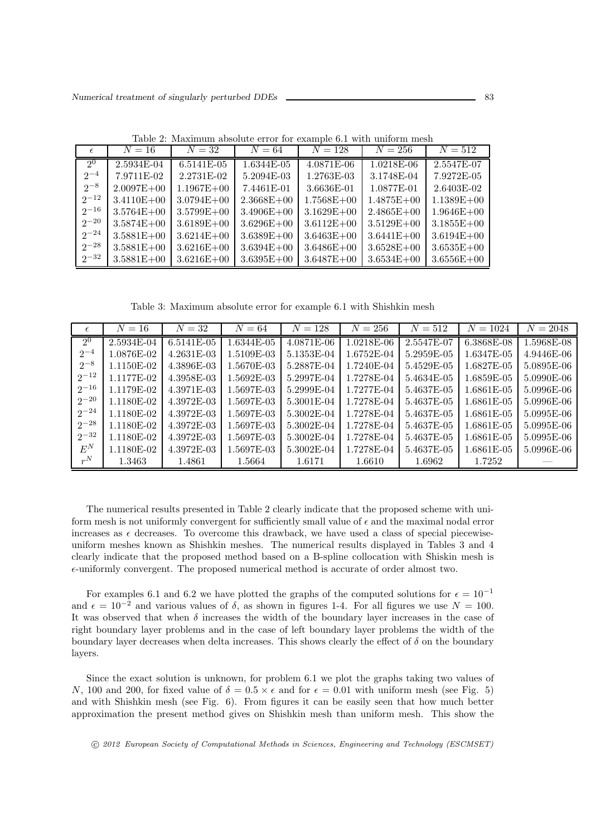| $\epsilon$ | $N=16$         | $N=32$         | $N=64$         | $N = 128$      | $N = 256$      | $N = 512$      |
|------------|----------------|----------------|----------------|----------------|----------------|----------------|
| $2^{0}$    | 2.5934E-04     | 6.5141E-05     | 1.6344E-05     | 4.0871E-06     | 1.0218E-06     | 2.5547E-07     |
| $2^{-4}$   | 7.9711 E-02    | 2.2731 E-02    | 5.2094E-03     | 1.2763E-03     | 3.1748E-04     | 7.9272E-05     |
| $2^{-8}$   | $2.0097E + 00$ | $1.1967E + 00$ | 7.4461E-01     | 3.6636E-01     | 1.0877E-01     | 2.6403E-02     |
| $2^{-12}$  | $3.4110E + 00$ | $3.0794E + 00$ | $2.3668E + 00$ | $1.7568E + 00$ | $1.4875E + 00$ | $1.1389E + 00$ |
| $2^{-16}$  | $3.5764E + 00$ | $3.5799E + 00$ | $3.4906E + 00$ | $3.1629E + 00$ | $2.4865E + 00$ | $1.9646E + 00$ |
| $2^{-20}$  | $3.5874E + 00$ | $3.6189E + 00$ | $3.6296E + 00$ | $3.6112E + 00$ | $3.5129E + 00$ | $3.1855E + 00$ |
| $2^{-24}$  | $3.5881E + 00$ | $3.6214E + 00$ | $3.6389E + 00$ | $3.6463E + 00$ | $3.6441E + 00$ | $3.6194E + 00$ |
| $2^{-28}$  | $3.5881E + 00$ | $3.6216E + 00$ | $3.6394E + 00$ | $3.6486E + 00$ | $3.6528E + 00$ | $3.6535E + 00$ |
| $2^{-32}$  | $3.5881E + 00$ | $3.6216E + 00$ | $3.6395E + 00$ | $3.6487E + 00$ | $3.6534E + 00$ | $3.6556E + 00$ |

Table 2: Maximum absolute error for example 6.1 with uniform mesh

Table 3: Maximum absolute error for example 6.1 with Shishkin mesh

| $\epsilon$ | $N=16$     | $N=32$     | $N=64$     | N<br>$=128$ | $= 256$<br>N | $N=512$    | N<br>$=1024$ | $N = 2048$ |
|------------|------------|------------|------------|-------------|--------------|------------|--------------|------------|
| $2^0$      | 2.5934E-04 | 6.5141E-05 | 1.6344E-05 | 4.0871E-06  | 1.0218E-06   | 2.5547E-07 | $6.3868E-08$ | 1.5968E-08 |
| $2^{-4}$   | 1.0876E-02 | 4.2631E-03 | 1.5109E-03 | 5.1353E-04  | 1.6752E-04   | 5.2959E-05 | 1.6347E-05   | 4.9446E-06 |
| $2^{-8}$   | 1.1150E-02 | 4.3896E-03 | 1.5670E-03 | 5.2887E-04  | 1.7240E-04   | 5.4529E-05 | 1.6827E-05   | 5.0895E-06 |
| $2^{-12}$  | 1.1177E-02 | 4.3958E-03 | 1.5692E-03 | 5.2997E-04  | 1.7278E-04   | 5.4634E-05 | 1.6859E-05   | 5.0990E-06 |
| $2^{-16}$  | 1.1179E-02 | 4.3971E-03 | 1.5697E-03 | 5.2999E-04  | 1.7277E-04   | 5.4637E-05 | 1.6861E-05   | 5.0996E-06 |
| $2^{-20}$  | 1.1180E-02 | 4.3972E-03 | 1.5697E-03 | 5.3001E-04  | 1.7278E-04   | 5.4637E-05 | 1.6861E-05   | 5.0996E-06 |
| $2^{-24}$  | 1.1180E-02 | 4.3972E-03 | 1.5697E-03 | 5.3002E-04  | 1.7278E-04   | 5.4637E-05 | 1.6861E-05   | 5.0995E-06 |
| $2^{-28}$  | 1.1180E-02 | 4.3972E-03 | 1.5697E-03 | 5.3002E-04  | 1.7278E-04   | 5.4637E-05 | 1.6861E-05   | 5.0995E-06 |
| $2^{-32}$  | 1.1180E-02 | 4.3972E-03 | 1.5697E-03 | 5.3002E-04  | 1.7278E-04   | 5.4637E-05 | 1.6861E-05   | 5.0995E-06 |
| $E^N$      | 1.1180E-02 | 4.3972E-03 | 1.5697E-03 | 5.3002E-04  | 1.7278E-04   | 5.4637E-05 | 1.6861E-05   | 5.0996E-06 |
| $r^N$      | 1.3463     | 1.4861     | 1.5664     | 1.6171      | 1.6610       | 1.6962     | 1.7252       |            |

The numerical results presented in Table 2 clearly indicate that the proposed scheme with uniform mesh is not uniformly convergent for sufficiently small value of  $\epsilon$  and the maximal nodal error increases as  $\epsilon$  decreases. To overcome this drawback, we have used a class of special piecewiseuniform meshes known as Shishkin meshes. The numerical results displayed in Tables 3 and 4 clearly indicate that the proposed method based on a B-spline collocation with Shiskin mesh is  $\epsilon$ -uniformly convergent. The proposed numerical method is accurate of order almost two.

For examples 6.1 and 6.2 we have plotted the graphs of the computed solutions for  $\epsilon = 10^{-1}$ and  $\epsilon = 10^{-2}$  and various values of  $\delta$ , as shown in figures 1-4. For all figures we use  $N = 100$ . It was observed that when  $\delta$  increases the width of the boundary layer increases in the case of right boundary layer problems and in the case of left boundary layer problems the width of the boundary layer decreases when delta increases. This shows clearly the effect of  $\delta$  on the boundary layers.

Since the exact solution is unknown, for problem 6.1 we plot the graphs taking two values of N, 100 and 200, for fixed value of  $\delta = 0.5 \times \epsilon$  and for  $\epsilon = 0.01$  with uniform mesh (see Fig. 5) and with Shishkin mesh (see Fig. 6). From figures it can be easily seen that how much better approximation the present method gives on Shishkin mesh than uniform mesh. This show the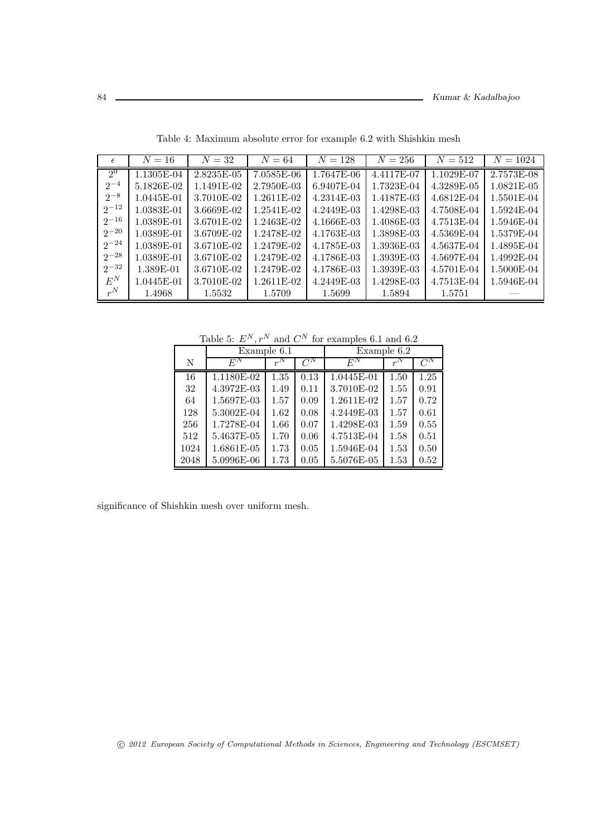| $\epsilon$     | $N=16$     | $N=32$     | $N = 64$   | $N = 128$  | $N = 256$  | $N = 512$  | $N = 1024$ |
|----------------|------------|------------|------------|------------|------------|------------|------------|
| 2 <sup>0</sup> | 1.1305E-04 | 2.8235E-05 | 7.0585E-06 | 1.7647E-06 | 4.4117E-07 | 1.1029E-07 | 2.7573E-08 |
| $2^{-4}$       | 5.1826E-02 | 1.1491E-02 | 2.7950E-03 | 6.9407E-04 | 1.7323E-04 | 4.3289E-05 | 1.0821E-05 |
| $2^{-8}$       | 1.0445E-01 | 3.7010E-02 | 1.2611E-02 | 4.2314E-03 | 1.4187E-03 | 4.6812E-04 | 1.5501E-04 |
| $2^{-12}$      | 1.0383E-01 | 3.6669E-02 | 1.2541E-02 | 4.2449E-03 | 1.4298E-03 | 4.7508E-04 | 1.5924E-04 |
| $2^{-16}$      | 1.0389E-01 | 3.6701E-02 | 1.2463E-02 | 4.1666E-03 | 1.4086E-03 | 4.7513E-04 | 1.5946E-04 |
| $2^{-20}$      | 1.0389E-01 | 3.6709E-02 | 1.2478E-02 | 4.1763E-03 | 1.3898E-03 | 4.5369E-04 | 1.5379E-04 |
| $2^{-24}$      | 1.0389E-01 | 3.6710E-02 | 1.2479E-02 | 4.1785E-03 | 1.3936E-03 | 4.5637E-04 | 1.4895E-04 |
| $2^{-28}$      | 1.0389E-01 | 3.6710E-02 | 1.2479E-02 | 4.1786E-03 | 1.3939E-03 | 4.5697E-04 | 1.4992E-04 |
| $2^{-32}$      | 1.389E-01  | 3.6710E-02 | 1.2479E-02 | 4.1786E-03 | 1.3939E-03 | 4.5701E-04 | 1.5000E-04 |
| $E^N$          | 1.0445E-01 | 3.7010E-02 | 1.2611E-02 | 4.2449E-03 | 1.4298E-03 | 4.7513E-04 | 1.5946E-04 |
| $r^N$          | 1.4968     | 1.5532     | 1.5709     | 1.5699     | 1.5894     | 1.5751     |            |

Table 4: Maximum absolute error for example 6.2 with Shishkin mesh

Table 5:  $E^N, r^N$  and  $C^N$  for examples 6.1 and 6.2

|      | Example 6.1 |       |         | Example 6.2 |       |         |  |
|------|-------------|-------|---------|-------------|-------|---------|--|
| N    | $E^N$       | $r^N$ | $C^{N}$ | $E^N$       | $r^N$ | $C^{N}$ |  |
| 16   | 1.1180E-02  | 1.35  | 0.13    | 1.0445E-01  | 1.50  | 1.25    |  |
| 32   | 4.3972E-03  | 1.49  | 0.11    | 3.7010E-02  | 1.55  | 0.91    |  |
| 64   | 1.5697E-03  | 1.57  | 0.09    | 1.2611E-02  | 1.57  | 0.72    |  |
| 128  | 5.3002E-04  | 1.62  | 0.08    | 4.2449E-03  | 1.57  | 0.61    |  |
| 256  | 1.7278E-04  | 1.66  | 0.07    | 1.4298E-03  | 1.59  | 0.55    |  |
| 512  | 5.4637E-05  | 1.70  | 0.06    | 4.7513E-04  | 1.58  | 0.51    |  |
| 1024 | 1.6861E-05  | 1.73  | 0.05    | 1.5946E-04  | 1.53  | 0.50    |  |
| 2048 | 5.0996E-06  | 1.73  | 0.05    | 5.5076E-05  | 1.53  | 0.52    |  |

significance of Shishkin mesh over uniform mesh.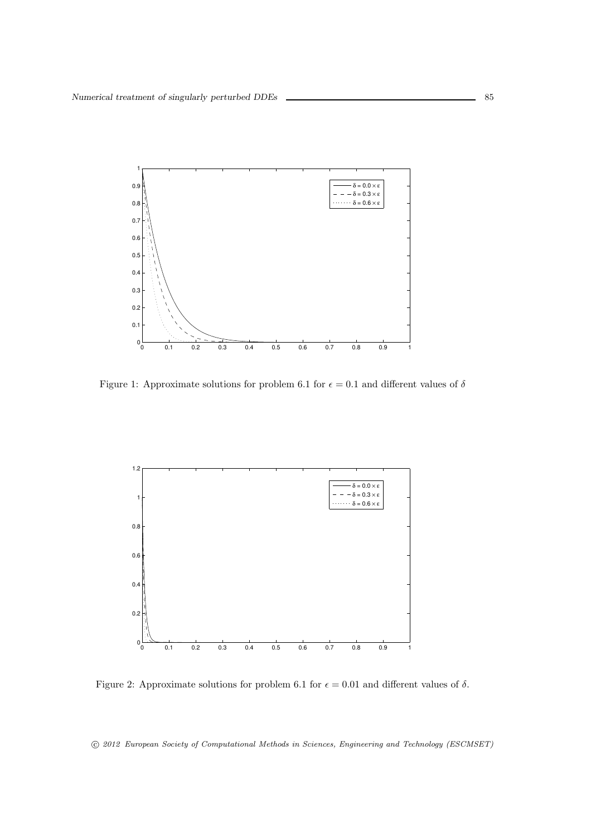

Figure 1: Approximate solutions for problem 6.1 for  $\epsilon = 0.1$  and different values of  $\delta$ 



Figure 2: Approximate solutions for problem 6.1 for  $\epsilon = 0.01$  and different values of  $\delta$ .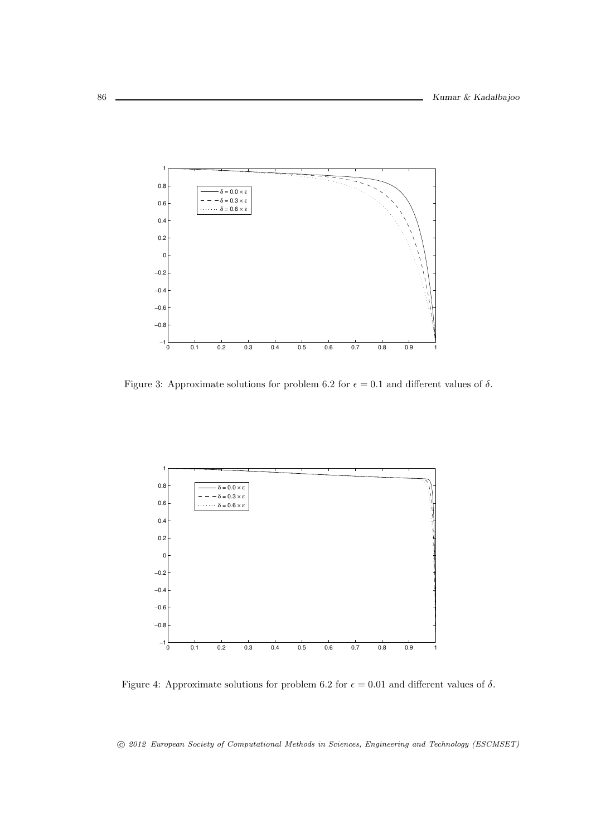

Figure 3: Approximate solutions for problem 6.2 for  $\epsilon = 0.1$  and different values of  $\delta$ .



Figure 4: Approximate solutions for problem 6.2 for  $\epsilon = 0.01$  and different values of  $\delta$ .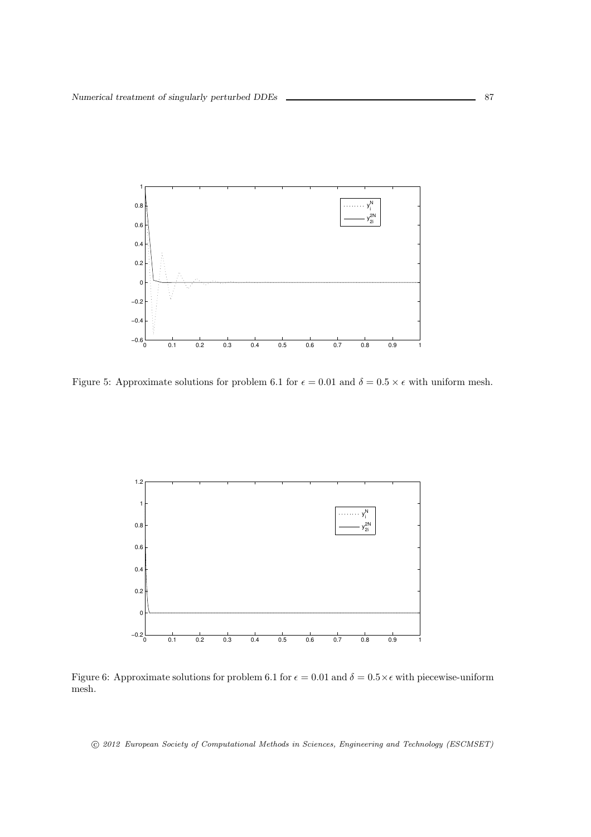

Figure 5: Approximate solutions for problem 6.1 for  $\epsilon = 0.01$  and  $\delta = 0.5 \times \epsilon$  with uniform mesh.



Figure 6: Approximate solutions for problem 6.1 for  $\epsilon = 0.01$  and  $\delta = 0.5 \times \epsilon$  with piecewise-uniform mesh.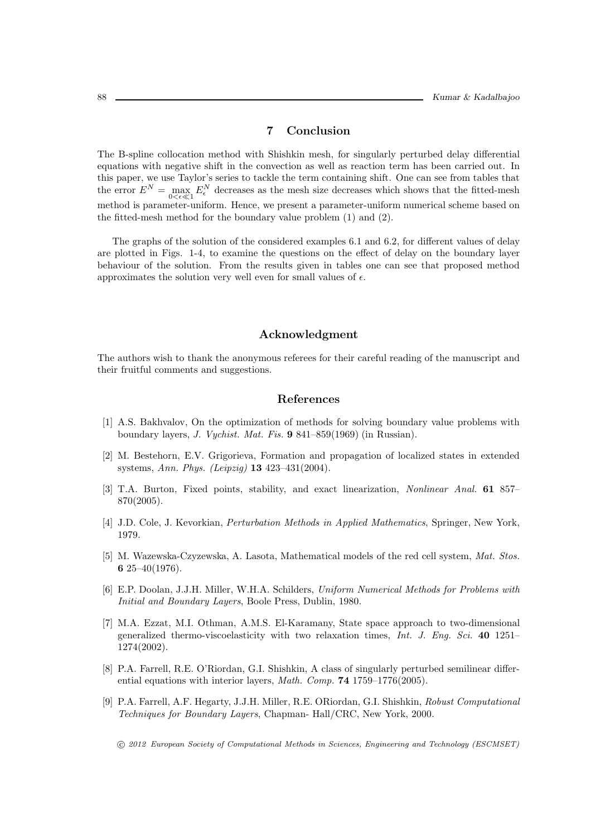# 7 Conclusion

The B-spline collocation method with Shishkin mesh, for singularly perturbed delay differential equations with negative shift in the convection as well as reaction term has been carried out. In this paper, we use Taylor's series to tackle the term containing shift. One can see from tables that the error  $E^N = \max_{0 \le \epsilon \le 1} E^N_\epsilon$  decreases as the mesh size decreases which shows that the fitted-mesh method is parameter-uniform. Hence, we present a parameter-uniform numerical scheme based on the fitted-mesh method for the boundary value problem (1) and (2).

The graphs of the solution of the considered examples 6.1 and 6.2, for different values of delay are plotted in Figs. 1-4, to examine the questions on the effect of delay on the boundary layer behaviour of the solution. From the results given in tables one can see that proposed method approximates the solution very well even for small values of  $\epsilon$ .

#### Acknowledgment

The authors wish to thank the anonymous referees for their careful reading of the manuscript and their fruitful comments and suggestions.

### References

- [1] A.S. Bakhvalov, On the optimization of methods for solving boundary value problems with boundary layers, J. Vychist. Mat. Fis. 9 841–859(1969) (in Russian).
- [2] M. Bestehorn, E.V. Grigorieva, Formation and propagation of localized states in extended systems, Ann. Phys. (Leipzig) 13 423–431(2004).
- [3] T.A. Burton, Fixed points, stability, and exact linearization, Nonlinear Anal. 61 857– 870(2005).
- [4] J.D. Cole, J. Kevorkian, Perturbation Methods in Applied Mathematics, Springer, New York, 1979.
- [5] M. Wazewska-Czyzewska, A. Lasota, Mathematical models of the red cell system, Mat. Stos. 6 25–40 $(1976)$ .
- [6] E.P. Doolan, J.J.H. Miller, W.H.A. Schilders, Uniform Numerical Methods for Problems with Initial and Boundary Layers, Boole Press, Dublin, 1980.
- [7] M.A. Ezzat, M.I. Othman, A.M.S. El-Karamany, State space approach to two-dimensional generalized thermo-viscoelasticity with two relaxation times, Int. J. Eng. Sci. 40 1251– 1274(2002).
- [8] P.A. Farrell, R.E. O'Riordan, G.I. Shishkin, A class of singularly perturbed semilinear differential equations with interior layers, *Math. Comp.* **74** 1759–1776(2005).
- [9] P.A. Farrell, A.F. Hegarty, J.J.H. Miller, R.E. ORiordan, G.I. Shishkin, Robust Computational Techniques for Boundary Layers, Chapman- Hall/CRC, New York, 2000.
	- c 2012 European Society of Computational Methods in Sciences, Engineering and Technology (ESCMSET)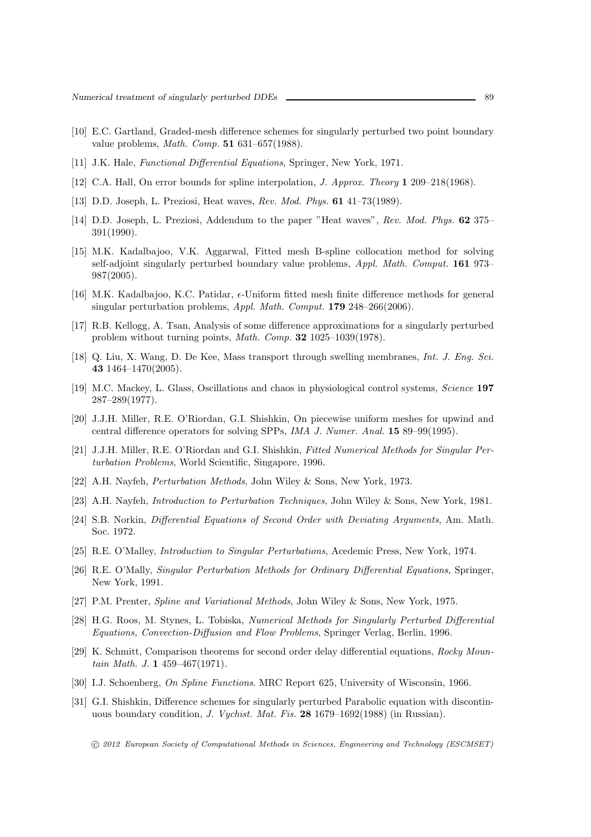- [10] E.C. Gartland, Graded-mesh difference schemes for singularly perturbed two point boundary value problems, Math. Comp. 51 631–657(1988).
- [11] J.K. Hale, *Functional Differential Equations*, Springer, New York, 1971.
- [12] C.A. Hall, On error bounds for spline interpolation, J. Approx. Theory 1 209–218(1968).
- [13] D.D. Joseph, L. Preziosi, Heat waves, Rev. Mod. Phys. 61 41–73(1989).
- [14] D.D. Joseph, L. Preziosi, Addendum to the paper "Heat waves", Rev. Mod. Phys. 62 375– 391(1990).
- [15] M.K. Kadalbajoo, V.K. Aggarwal, Fitted mesh B-spline collocation method for solving self-adjoint singularly perturbed boundary value problems, Appl. Math. Comput. 161 973– 987(2005).
- [16] M.K. Kadalbajoo, K.C. Patidar,  $\epsilon$ -Uniform fitted mesh finite difference methods for general singular perturbation problems, Appl. Math. Comput. 179 248–266(2006).
- [17] R.B. Kellogg, A. Tsan, Analysis of some difference approximations for a singularly perturbed problem without turning points, Math. Comp. 32 1025–1039(1978).
- [18] Q. Liu, X. Wang, D. De Kee, Mass transport through swelling membranes, Int. J. Eng. Sci. 43 1464–1470(2005).
- [19] M.C. Mackey, L. Glass, Oscillations and chaos in physiological control systems, Science 197 287–289(1977).
- [20] J.J.H. Miller, R.E. O'Riordan, G.I. Shishkin, On piecewise uniform meshes for upwind and central difference operators for solving SPPs, IMA J. Numer. Anal. 15 89–99(1995).
- [21] J.J.H. Miller, R.E. O'Riordan and G.I. Shishkin, Fitted Numerical Methods for Singular Perturbation Problems, World Scientific, Singapore, 1996.
- [22] A.H. Nayfeh, Perturbation Methods, John Wiley & Sons, New York, 1973.
- [23] A.H. Nayfeh, Introduction to Perturbation Techniques, John Wiley & Sons, New York, 1981.
- [24] S.B. Norkin, Differential Equations of Second Order with Deviating Arguments, Am. Math. Soc. 1972.
- [25] R.E. O'Malley, Introduction to Singular Perturbations, Acedemic Press, New York, 1974.
- [26] R.E. O'Mally, Singular Perturbation Methods for Ordinary Differential Equations, Springer, New York, 1991.
- [27] P.M. Prenter, Spline and Variational Methods, John Wiley & Sons, New York, 1975.
- [28] H.G. Roos, M. Stynes, L. Tobiska, Numerical Methods for Singularly Perturbed Differential Equations, Convection-Diffusion and Flow Problems, Springer Verlag, Berlin, 1996.
- [29] K. Schmitt, Comparison theorems for second order delay differential equations, Rocky Mountain Math. J. 1 459–467(1971).
- [30] I.J. Schoenberg, On Spline Functions. MRC Report 625, University of Wisconsin, 1966.
- [31] G.I. Shishkin, Difference schemes for singularly perturbed Parabolic equation with discontinuous boundary condition, J. Vychist. Mat. Fis. 28 1679–1692(1988) (in Russian).